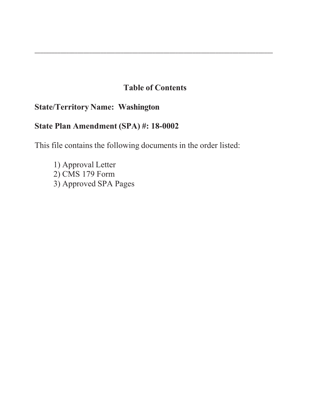# **Table of Contents**

\_\_\_\_\_\_\_\_\_\_\_\_\_\_\_\_\_\_\_\_\_\_\_\_\_\_\_\_\_\_\_\_\_\_\_\_\_\_\_\_\_\_\_\_\_\_\_\_\_\_\_\_\_\_\_\_\_\_\_\_\_\_\_\_\_\_\_\_\_\_\_\_\_\_\_\_\_\_\_\_\_\_\_

# **State/Territory Name: Washington**

# **State Plan Amendment (SPA) #: 18-00**

This file contains the following documents in the order listed:

1) Approval Letter  $2)$  CMS 179 Form 3) Approved SPA Pages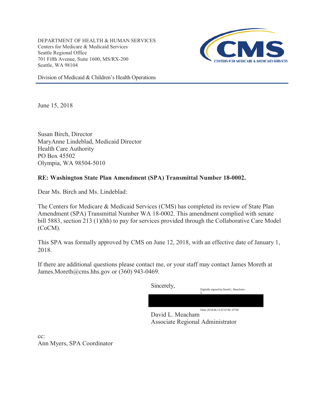DEPARTMENT OF HEALTH & HUMAN SERVICES Centers for Medicare & Medicaid Services Seattle Regional Office 701 Fifth Avenue, Suite 1600, MS/RX-200 Seattle, WA 98104



Division of Medicaid & Children's Health Operations

June 15, 2018

Susan Birch, Director MaryAnne Lindeblad, Medicaid Director Health Care Authority PO Box 45502 Olympia, WA 98504-5010

## **RE: Washington State Plan Amendment (SPA) Transmittal Number 18-0002.**

Dear Ms. Birch and Ms. Lindeblad:

The Centers for Medicare & Medicaid Services (CMS) has completed its review of State Plan Amendment (SPA) Transmittal Number WA 18-0002. This amendment complied with senate bill 5883, section 213 (1)(hh) to pay for services provided through the Collaborative Care Model (CoCM).

This SPA was formally approved by CMS on June 12, 2018, with an effective date of January 1, 2018.

If there are additional questions please contact me, or your staff may contact James Moreth at James.Moreth@cms.hhs.gov or (360) 943-0469.

> Sincerely, Digitally signed by David L. Meacham - S Date: 2018.06.15 07:37:40 -07'00'

David L. Meacham Associate Regional Administrator

cc: Ann Myers, SPA Coordinator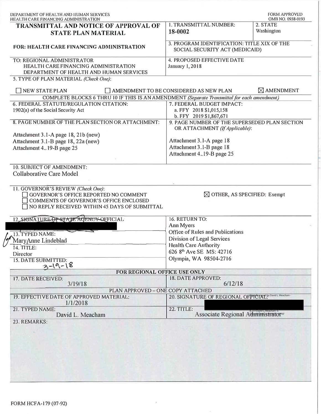| HEALTH CARE FINANCING ADMINISTRATION<br>TRANSMITTAL AND NOTICE OF APPROVAL OF<br><b>STATE PLAN MATERIAL</b>                      |                                                                                 |                               |
|----------------------------------------------------------------------------------------------------------------------------------|---------------------------------------------------------------------------------|-------------------------------|
|                                                                                                                                  | 1. TRANSMITTAL NUMBER:                                                          | OMB NO. 0938-0193<br>2. STATE |
|                                                                                                                                  | 18-0002                                                                         | Washington                    |
| <b>FOR: HEALTH CARE FINANCING ADMINISTRATION</b>                                                                                 | 3. PROGRAM IDENTIFICATION: TITLE XIX OF THE<br>SOCIAL SECURITY ACT (MEDICAID)   |                               |
| TO: REGIONAL ADMINISTRATOR<br>HEALTH CARE FINANCING ADMINISTRATION                                                               | 4. PROPOSED EFFECTIVE DATE<br><b>January 1, 2018</b>                            |                               |
| DEPARTMENT OF HEALTH AND HUMAN SERVICES                                                                                          |                                                                                 |                               |
| 5. TYPE OF PLAN MATERIAL (Check One):                                                                                            |                                                                                 |                               |
| <b>NEW STATE PLAN</b>                                                                                                            | AMENDMENT TO BE CONSIDERED AS NEW PLAN                                          | $\boxtimes$ AMENDMENT         |
| COMPLETE BLOCKS 6 THRU 10 IF THIS IS AN AMENDMENT (Separate Transmittal for each amendment)                                      |                                                                                 |                               |
| 6. FEDERAL STATUTE/REGULATION CITATION:                                                                                          | 7. FEDERAL BUDGET IMPACT:                                                       |                               |
| 1902(a) of the Social Security Act                                                                                               | a. FFY 2018 \$1,015,158<br>b. FFY 2019 \$1,867,671                              |                               |
| 8. PAGE NUMBER OF THE PLAN SECTION OR ATTACHMENT:                                                                                | 9. PAGE NUMBER OF THE SUPERSEDED PLAN SECTION<br>OR ATTACHMENT (If Applicable): |                               |
| Attachment 3.1-A page 18, 21b (new)                                                                                              |                                                                                 |                               |
| Attachment 3.1-B page 18, 22a (new)                                                                                              | Attachment 3.1-A page 18                                                        |                               |
| Attachment 419-B page 25                                                                                                         | Attachment 3.1-B page 18                                                        |                               |
|                                                                                                                                  | Attachment 419-B page 25                                                        |                               |
| 10. SUBJECT OF AMENDMENT:                                                                                                        |                                                                                 |                               |
| <b>Collaborative Care Model</b><br>11. GOVERNOR'S REVIEW (Check One):                                                            |                                                                                 |                               |
| GOVERNOR'S OFFICE REPORTED NO COMMENT<br>COMMENTS OF GOVERNOR'S OFFICE ENCLOSED<br>NO REPLY RECEIVED WITHIN 45 DAYS OF SUBMITTAL | $\boxtimes$ OTHER, AS SPECIFIED: Exempt                                         |                               |
| 12. SIGNATURE OF STATE AGENCY OFFICIAL:                                                                                          | 16. RETURN TO:                                                                  |                               |
|                                                                                                                                  | Ann Myers                                                                       |                               |
| 13. TYPED NAME:                                                                                                                  | Office of Rules and Publications                                                |                               |
|                                                                                                                                  | Division of Legal Services                                                      |                               |
| 14. TITLE:                                                                                                                       | <b>Health Care Authority</b>                                                    |                               |
| MaryAnne Lindeblad<br>Director                                                                                                   | 626 8 <sup>th</sup> Ave SE MS: 42716                                            |                               |
|                                                                                                                                  | Olympia, WA 98504-2716                                                          |                               |
| 15. DATE SUBMITTED: $3-\sqrt{9}-18$                                                                                              |                                                                                 |                               |
| FOR REGIONAL OFFICE USE ONLY                                                                                                     |                                                                                 |                               |
| 17. DATE RECEIVED:                                                                                                               | <b>18. DATE APPROVED:</b><br>6/12/18                                            |                               |
| 3/19/18<br>PLAN APPROVED - ONE COPY ATTACHED                                                                                     |                                                                                 |                               |
| 19. EFFECTIVE DATE OF APPROVED MATERIAL:<br>1/1/2018                                                                             | 20. SIGNATURE OF REGIONAL OF PICTAL. Meacham-                                   |                               |
| 21. TYPED NAME:<br>David L. Meacham                                                                                              | 22. TITLE:<br>Associate Regional Administrator®                                 |                               |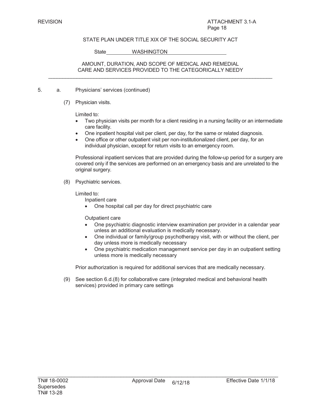State WASHINGTON

#### AMOUNT, DURATION, AND SCOPE OF MEDICAL AND REMEDIAL CARE AND SERVICES PROVIDED TO THE CATEGORICALLY NEEDY  $\mathcal{L}_\text{max}$  , and the set of the set of the set of the set of the set of the set of the set of the set of the set of the set of the set of the set of the set of the set of the set of the set of the set of the set of the

- 5. a. Physicians' services (continued)
	- (7) Physician visits.

Limited to:

- Two physician visits per month for a client residing in a nursing facility or an intermediate care facility.
- One inpatient hospital visit per client, per day, for the same or related diagnosis.
- One office or other outpatient visit per non-institutionalized client, per day, for an individual physician, except for return visits to an emergency room.

Professional inpatient services that are provided during the follow-up period for a surgery are covered only if the services are performed on an emergency basis and are unrelated to the original surgery.

(8) Psychiatric services.

Limited to:

Inpatient care

• One hospital call per day for direct psychiatric care

Outpatient care

- One psychiatric diagnostic interview examination per provider in a calendar year unless an additional evaluation is medically necessary.
- One individual or family/group psychotherapy visit, with or without the client, per day unless more is medically necessary
- One psychiatric medication management service per day in an outpatient setting unless more is medically necessary

Prior authorization is required for additional services that are medically necessary.

(9) See section 6.d.(8) for collaborative care (integrated medical and behavioral health services) provided in primary care settings

 $\mathcal{L}_\text{max} = \mathcal{L}_\text{max} = \mathcal{L}_\text{max} = \mathcal{L}_\text{max} = \mathcal{L}_\text{max} = \mathcal{L}_\text{max} = \mathcal{L}_\text{max} = \mathcal{L}_\text{max} = \mathcal{L}_\text{max} = \mathcal{L}_\text{max} = \mathcal{L}_\text{max} = \mathcal{L}_\text{max} = \mathcal{L}_\text{max} = \mathcal{L}_\text{max} = \mathcal{L}_\text{max} = \mathcal{L}_\text{max} = \mathcal{L}_\text{max} = \mathcal{L}_\text{max} = \mathcal{$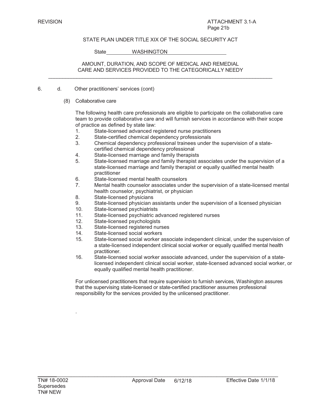State WASHINGTON

#### AMOUNT, DURATION, AND SCOPE OF MEDICAL AND REMEDIAL CARE AND SERVICES PROVIDED TO THE CATEGORICALLY NEEDY  $\mathcal{L}_\text{max}$  , and the set of the set of the set of the set of the set of the set of the set of the set of the set of the set of the set of the set of the set of the set of the set of the set of the set of the set of the

- 6. d. Other practitioners' services (cont)
	- (8) Collaborative care

The following health care professionals are eligible to participate on the collaborative care team to provide collaborative care and will furnish services in accordance with their scope of practice as defined by state law:

- 1. State-licensed advanced registered nurse practitioners
- 2. State-certified chemical dependency professionals
- 3. Chemical dependency professional trainees under the supervision of a statecertified chemical dependency professional
- 4. State-licensed marriage and family therapists
- 5. State-licensed marriage and family therapist associates under the supervision of a state-licensed marriage and family therapist or equally qualified mental health practitioner
- 6. State-licensed mental health counselors
- 7. Mental health counselor associates under the supervision of a state-licensed mental health counselor, psychiatrist, or physician
- 8. State-licensed physicians
- 9. State-licensed physician assistants under the supervision of a licensed physician
- 10. State-licensed psychiatrists
- 11. State-licensed psychiatric advanced registered nurses
- 12. State-licensed psychologists
- 13. State-licensed registered nurses
- 14. State-licensed social workers
- 15. State-licensed social worker associate independent clinical, under the supervision of a state-licensed independent clinical social worker or equally qualified mental health practitioner.
- 16. State-licensed social worker associate advanced, under the supervision of a statelicensed independent clinical social worker, state-licensed advanced social worker, or equally qualified mental health practitioner.

For unlicensed practitioners that require supervision to furnish services, Washington assures that the supervising state-licensed or state-certified practitioner assumes professional responsibility for the services provided by the unlicensed practitioner.

.

 $\mathcal{L}_\text{max} = \mathcal{L}_\text{max} = \mathcal{L}_\text{max} = \mathcal{L}_\text{max} = \mathcal{L}_\text{max} = \mathcal{L}_\text{max} = \mathcal{L}_\text{max} = \mathcal{L}_\text{max} = \mathcal{L}_\text{max} = \mathcal{L}_\text{max} = \mathcal{L}_\text{max} = \mathcal{L}_\text{max} = \mathcal{L}_\text{max} = \mathcal{L}_\text{max} = \mathcal{L}_\text{max} = \mathcal{L}_\text{max} = \mathcal{L}_\text{max} = \mathcal{L}_\text{max} = \mathcal{$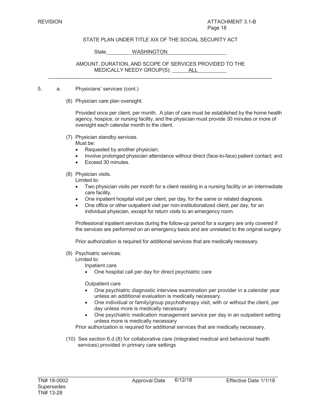State WASHINGTON

AMOUNT, DURATION, AND SCOPE OF SERVICES PROVIDED TO THE MEDICALLY NEEDY GROUP(S): ALL  $\_$  ,  $\_$  ,  $\_$  ,  $\_$  ,  $\_$  ,  $\_$  ,  $\_$  ,  $\_$  ,  $\_$  ,  $\_$  ,  $\_$  ,  $\_$  ,  $\_$  ,  $\_$  ,  $\_$  ,  $\_$  ,  $\_$  ,  $\_$  ,  $\_$  ,  $\_$  ,  $\_$  ,  $\_$  ,  $\_$  ,  $\_$  ,  $\_$  ,  $\_$  ,  $\_$  ,  $\_$  ,  $\_$  ,  $\_$  ,  $\_$  ,  $\_$  ,  $\_$  ,  $\_$  ,  $\_$  ,  $\_$  ,  $\_$  ,

- 5. a. Physicians' services (cont.)
	- (6) Physician care plan oversight.

Provided once per client, per month. A plan of care must be established by the home health agency, hospice, or nursing facility, and the physician must provide 30 minutes or more of oversight each calendar month to the client.

(7) Physician standby services.

Must be:

- Requested by another physician;
- Involve prolonged physician attendance without direct (face-to-face) patient contact; and
- Exceed 30 minutes.

(8) Physician visits.

Limited to:

- Two physician visits per month for a client residing in a nursing facility or an intermediate care facility.
- One inpatient hospital visit per client, per day, for the same or related diagnosis.
- One office or other outpatient visit per non-institutionalized client, per day, for an individual physician, except for return visits to an emergency room.

Professional inpatient services during the follow-up period for a surgery are only covered if the services are performed on an emergency basis and are unrelated to the original surgery.

Prior authorization is required for additional services that are medically necessary.

(9) Psychiatric services:

Limited to:

- Inpatient care
- One hospital call per day for direct psychiatric care

Outpatient care

- One psychiatric diagnostic interview examination per provider in a calendar year unless an additional evaluation is medically necessary.
- One individual or family/group psychotherapy visit, with or without the client, per day unless more is medically necessary
- One psychiatric medication management service per day in an outpatient setting unless more is medically necessary

Prior authorization is required for additional services that are medically necessary.

(10) See section 6.d.(8) for collaborative care (integrated medical and behavioral health services) provided in primary care settings

 $\mathcal{L}_\text{max} = \mathcal{L}_\text{max} = \mathcal{L}_\text{max} = \mathcal{L}_\text{max} = \mathcal{L}_\text{max} = \mathcal{L}_\text{max} = \mathcal{L}_\text{max} = \mathcal{L}_\text{max} = \mathcal{L}_\text{max} = \mathcal{L}_\text{max} = \mathcal{L}_\text{max} = \mathcal{L}_\text{max} = \mathcal{L}_\text{max} = \mathcal{L}_\text{max} = \mathcal{L}_\text{max} = \mathcal{L}_\text{max} = \mathcal{L}_\text{max} = \mathcal{L}_\text{max} = \mathcal{$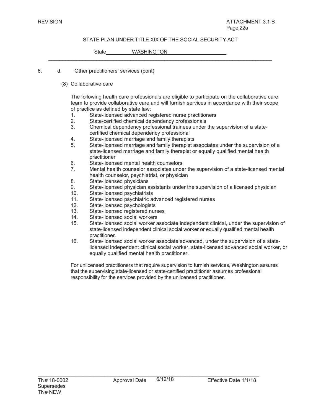$\mathcal{L}_\text{max}$  , and the set of the set of the set of the set of the set of the set of the set of the set of the set of the set of the set of the set of the set of the set of the set of the set of the set of the set of the

State WASHINGTON

- 6. d. Other practitioners' services (cont)
	- (8) Collaborative care

The following health care professionals are eligible to participate on the collaborative care team to provide collaborative care and will furnish services in accordance with their scope of practice as defined by state law:

- 1. State-licensed advanced registered nurse practitioners<br>2. State-certified chemical dependency professionals
- State-certified chemical dependency professionals
- 3. Chemical dependency professional trainees under the supervision of a statecertified chemical dependency professional
- 4. State-licensed marriage and family therapists
- 5. State-licensed marriage and family therapist associates under the supervision of a state-licensed marriage and family therapist or equally qualified mental health practitioner
- 6. State-licensed mental health counselors
- 7. Mental health counselor associates under the supervision of a state-licensed mental health counselor, psychiatrist, or physician
- 8. State-licensed physicians
- 9. State-licensed physician assistants under the supervision of a licensed physician
- 10. State-licensed psychiatrists
- 11. State-licensed psychiatric advanced registered nurses
- 12. State-licensed psychologists
- 13. State-licensed registered nurses
- 14. State-licensed social workers
- 15. State-licensed social worker associate independent clinical, under the supervision of state-licensed independent clinical social worker or equally qualified mental health practitioner.
- 16. State-licensed social worker associate advanced, under the supervision of a statelicensed independent clinical social worker, state-licensed advanced social worker, or equally qualified mental health practitioner.

For unlicensed practitioners that require supervision to furnish services, Washington assures that the supervising state-licensed or state-certified practitioner assumes professional responsibility for the services provided by the unlicensed practitioner.